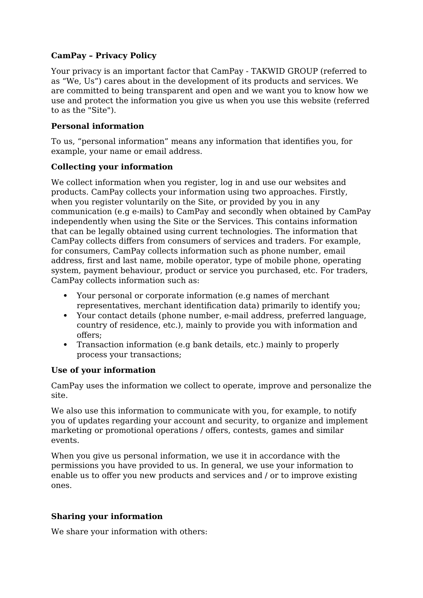## **CamPay – Privacy Policy**

Your privacy is an important factor that CamPay - TAKWID GROUP (referred to as "We, Us") cares about in the development of its products and services. We are committed to being transparent and open and we want you to know how we use and protect the information you give us when you use this website (referred to as the "Site").

## **Personal information**

To us, "personal information" means any information that identifies you, for example, your name or email address.

## **Collecting your information**

We collect information when you register, log in and use our websites and products. CamPay collects your information using two approaches. Firstly, when you register voluntarily on the Site, or provided by you in any communication (e.g e-mails) to CamPay and secondly when obtained by CamPay independently when using the Site or the Services. This contains information that can be legally obtained using current technologies. The information that CamPay collects differs from consumers of services and traders. For example, for consumers, CamPay collects information such as phone number, email address, first and last name, mobile operator, type of mobile phone, operating system, payment behaviour, product or service you purchased, etc. For traders, CamPay collects information such as:

- Your personal or corporate information (e.g names of merchant representatives, merchant identification data) primarily to identify you;
- Your contact details (phone number, e-mail address, preferred language, country of residence, etc.), mainly to provide you with information and offers;
- Transaction information (e.g bank details, etc.) mainly to properly process your transactions;

### **Use of your information**

CamPay uses the information we collect to operate, improve and personalize the site.

We also use this information to communicate with you, for example, to notify you of updates regarding your account and security, to organize and implement marketing or promotional operations / offers, contests, games and similar events.

When you give us personal information, we use it in accordance with the permissions you have provided to us. In general, we use your information to enable us to offer you new products and services and / or to improve existing ones.

# **Sharing your information**

We share your information with others: